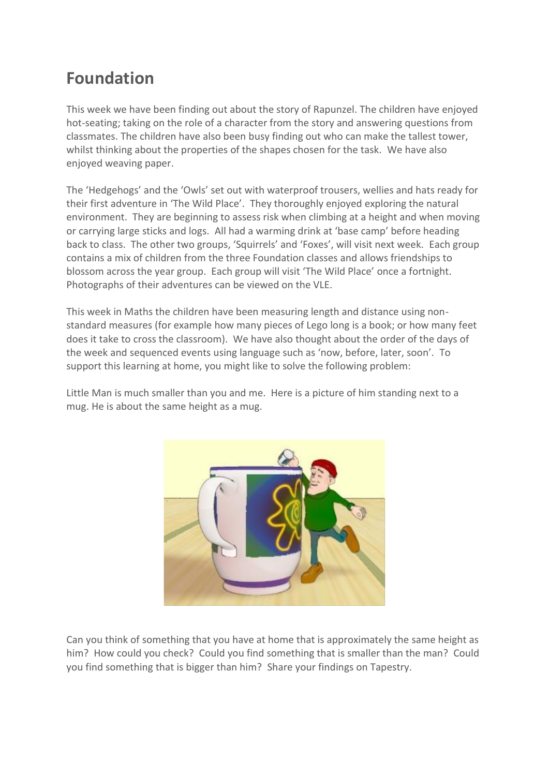## **Foundation**

This week we have been finding out about the story of Rapunzel. The children have enjoyed hot-seating; taking on the role of a character from the story and answering questions from classmates. The children have also been busy finding out who can make the tallest tower, whilst thinking about the properties of the shapes chosen for the task. We have also enjoyed weaving paper.

The 'Hedgehogs' and the 'Owls' set out with waterproof trousers, wellies and hats ready for their first adventure in 'The Wild Place'. They thoroughly enjoyed exploring the natural environment. They are beginning to assess risk when climbing at a height and when moving or carrying large sticks and logs. All had a warming drink at 'base camp' before heading back to class. The other two groups, 'Squirrels' and 'Foxes', will visit next week. Each group contains a mix of children from the three Foundation classes and allows friendships to blossom across the year group. Each group will visit 'The Wild Place' once a fortnight. Photographs of their adventures can be viewed on the VLE.

This week in Maths the children have been measuring length and distance using nonstandard measures (for example how many pieces of Lego long is a book; or how many feet does it take to cross the classroom). We have also thought about the order of the days of the week and sequenced events using language such as 'now, before, later, soon'. To support this learning at home, you might like to solve the following problem:

Little Man is much smaller than you and me. Here is a picture of him standing next to a mug. He is about the same height as a mug.



Can you think of something that you have at home that is approximately the same height as him? How could you check? Could you find something that is smaller than the man? Could you find something that is bigger than him? Share your findings on Tapestry.